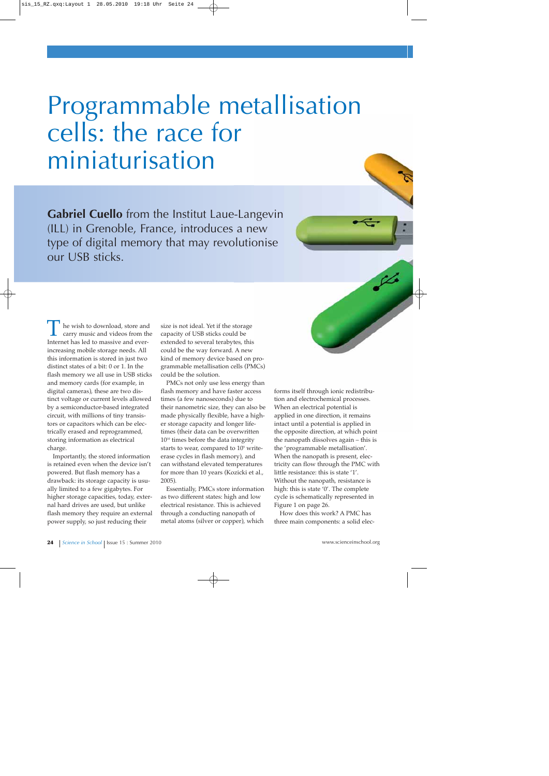# Programmable metallisation cells: the race for miniaturisation

**Gabriel Cuello** from the Institut Laue-Langevin (ILL) in Grenoble, France, introduces a new type of digital memory that may revolutionise our USB sticks.



Importantly, the stored information is retained even when the device isn't powered. But flash memory has a drawback: its storage capacity is usually limited to a few gigabytes. For higher storage capacities, today, external hard drives are used, but unlike flash memory they require an external power supply, so just reducing their

size is not ideal. Yet if the storage capacity of USB sticks could be extended to several terabytes, this could be the way forward. A new kind of memory device based on programmable metallisation cells (PMCs) could be the solution.

PMCs not only use less energy than flash memory and have faster access times (a few nanoseconds) due to their nanometric size, they can also be made physically flexible, have a higher storage capacity and longer lifetimes (their data can be overwritten 10<sup>10</sup> times before the data integrity starts to wear, compared to 10<sup>5</sup> writeerase cycles in flash memory), and can withstand elevated temperatures for more than 10 years (Kozicki et al., 2005).

Essentially, PMCs store information as two different states: high and low electrical resistance. This is achieved through a conducting nanopath of metal atoms (silver or copper), which

forms itself through ionic redistribution and electrochemical processes. When an electrical potential is applied in one direction, it remains intact until a potential is applied in the opposite direction, at which point the nanopath dissolves again – this is the 'programmable metallisation'. When the nanopath is present, electricity can flow through the PMC with little resistance: this is state '1'. Without the nanopath, resistance is high: this is state '0'. The complete cycle is schematically represented in Figure 1 on page 26.

How does this work? A PMC has three main components: a solid elec-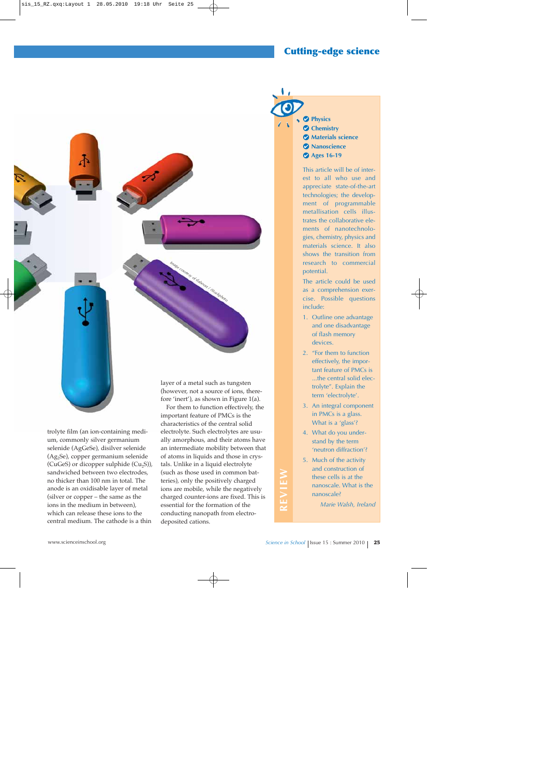# **Cutting-edge science**



trolyte film (an ion-containing medium, commonly silver germanium selenide (AgGeSe), disilver selenide (Ag2Se), copper germanium selenide (CuGeS) or dicopper sulphide  $(Cu_2S)$ ), sandwiched between two electrodes, no thicker than 100 nm in total. The anode is an oxidisable layer of metal (silver or copper – the same as the ions in the medium in between), which can release these ions to the central medium. The cathode is a thin

fore 'inert'), as shown in Figure 1(a).

For them to function effectively, the important feature of PMCs is the characteristics of the central solid electrolyte. Such electrolytes are usually amorphous, and their atoms have an intermediate mobility between that of atoms in liquids and those in crystals. Unlike in a liquid electrolyte (such as those used in common batteries), only the positively charged ions are mobile, while the negatively charged counter-ions are fixed. This is essential for the formation of the conducting nanopath from electrodeposited cations.

**Physics Chemistry Materials science Nanoscience Ages 16-19**

This article will be of interest to all who use and appreciate state-of-the-art technologies; the development of programmable metallisation cells illustrates the collaborative elements of nanotechnologies, chemistry, physics and materials science. It also shows the transition from research to commercial potential.

The article could be used as a comprehension exercise. Possible questions include:

- 1. Outline one advantage and one disadvantage of flash memory devices.
- 2. "For them to function effectively, the important feature of PMCs is ...the central solid electrolyte". Explain the term 'electrolyte'.
- 3. An integral component in PMCs is a glass. What is a 'glass'?
- 4. What do you understand by the term 'neutron diffraction'?
- 5. Much of the activity and construction of these cells is at the nanoscale. What is the nanoscale?

*Marie Walsh, Ireland*

**REVIEW**

REVIEW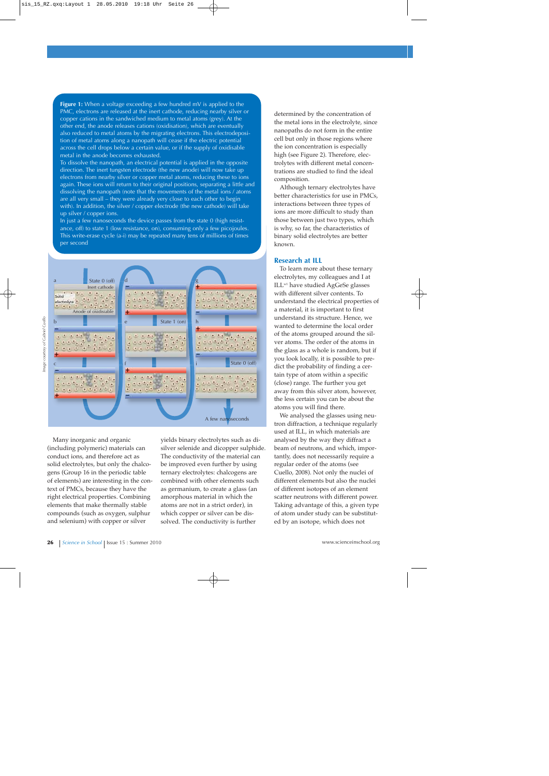**Figure 1:** When a voltage exceeding a few hundred mV is applied to the PMC, electrons are released at the inert cathode, reducing nearby silver or copper cations in the sandwiched medium to metal atoms (grey). At the other end, the anode releases cations (oxidisation), which are eventually also reduced to metal atoms by the migrating electrons. This electrodeposition of metal atoms along a nanopath will cease if the electric potential across the cell drops below a certain value, or if the supply of oxidisable metal in the anode becomes exhausted.

To dissolve the nanopath, an electrical potential is applied in the opposite direction. The inert tungsten electrode (the new anode) will now take up electrons from nearby silver or copper metal atoms, reducing these to ions again. These ions will return to their original positions, separating a little and dissolving the nanopath (note that the movements of the metal ions / atoms are all very small – they were already very close to each other to begin with). In addition, the silver / copper electrode (the new cathode) will take up silver / copper ions.

In just a few nanoseconds the device passes from the state 0 (high resistance, off) to state 1 (low resistance, on), consuming only a few picojoules. This write-erase cycle (a-i) may be repeated many tens of millions of times per second



Many inorganic and organic (including polymeric) materials can conduct ions, and therefore act as solid electrolytes, but only the chalcogens (Group 16 in the periodic table of elements) are interesting in the context of PMCs, because they have the right electrical properties. Combining elements that make thermally stable compounds (such as oxygen, sulphur and selenium) with copper or silver

yields binary electrolytes such as disilver selenide and dicopper sulphide. The conductivity of the material can be improved even further by using ternary electrolytes: chalcogens are combined with other elements such as germanium, to create a glass (an amorphous material in which the atoms are not in a strict order), in which copper or silver can be dissolved. The conductivity is further

determined by the concentration of the metal ions in the electrolyte, since nanopaths do not form in the entire cell but only in those regions where the ion concentration is especially high (see Figure 2). Therefore, electrolytes with different metal concentrations are studied to find the ideal composition.

Although ternary electrolytes have better characteristics for use in PMCs, interactions between three types of ions are more difficult to study than those between just two types, which is why, so far, the characteristics of binary solid electrolytes are better known.

## **Research at ILL**

To learn more about these ternary electrolytes, my colleagues and I at ILLw1 have studied AgGeSe glasses with different silver contents. To understand the electrical properties of a material, it is important to first understand its structure. Hence, we wanted to determine the local order of the atoms grouped around the silver atoms. The order of the atoms in the glass as a whole is random, but if you look locally, it is possible to predict the probability of finding a certain type of atom within a specific (close) range. The further you get away from this silver atom, however, the less certain you can be about the atoms you will find there.

We analysed the glasses using neutron diffraction, a technique regularly used at ILL, in which materials are analysed by the way they diffract a beam of neutrons, and which, importantly, does not necessarily require a regular order of the atoms (see Cuello, 2008). Not only the nuclei of different elements but also the nuclei of different isotopes of an element scatter neutrons with different power. Taking advantage of this, a given type of atom under study can be substituted by an isotope, which does not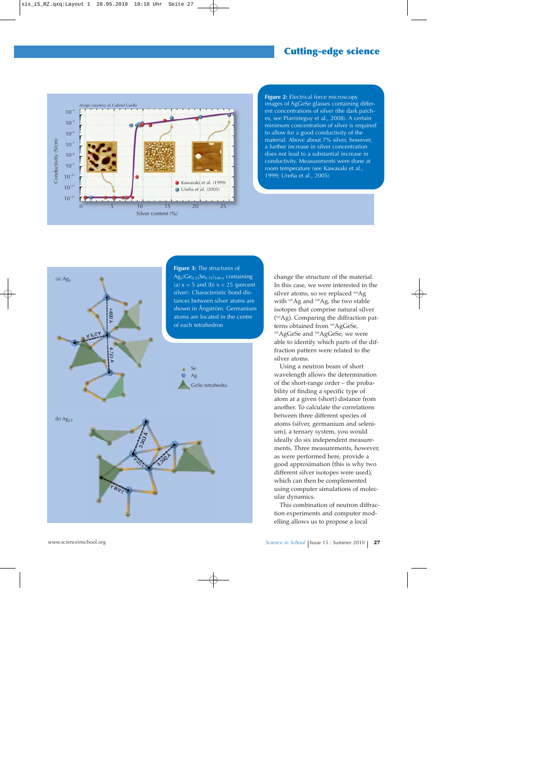

**Figure 2:** Electrical force microscopy images of AgGeSe glasses containing different concentrations of silver (the dark patches, see Piarristeguy et al., 2008). A certain minimum concentration of silver is required to allow for a good conductivity of the material. Above about 7% silver, however, a further increase in silver concentration does not lead to a substantial increase in conductivity. Measurements were done at room temperature (see Kawasaki et al., 1999; Ureña et al., 2005)



change the structure of the material. In this case, we were interested in the silver atoms, so we replaced natAg with <sup>107</sup>Ag and <sup>109</sup>Ag, the two stable isotopes that comprise natural silver ( natAg). Comparing the diffraction patterns obtained from natAgGeSe, <sup>107</sup>AgGeSe and <sup>109</sup>AgGeSe, we were able to identify which parts of the diffraction pattern were related to the silver atoms.

Using a neutron beam of short wavelength allows the determination of the short-range order – the probability of finding a specific type of atom at a given (short) distance from another. To calculate the correlations between three different species of atoms (silver, germanium and selenium), a ternary system, you would ideally do six independent measurements. Three measurements, however, as were performed here, provide a good approximation (this is why two different silver isotopes were used), which can then be complemented using computer simulations of molecular dynamics.

This combination of neutron diffraction experiments and computer modelling allows us to propose a local